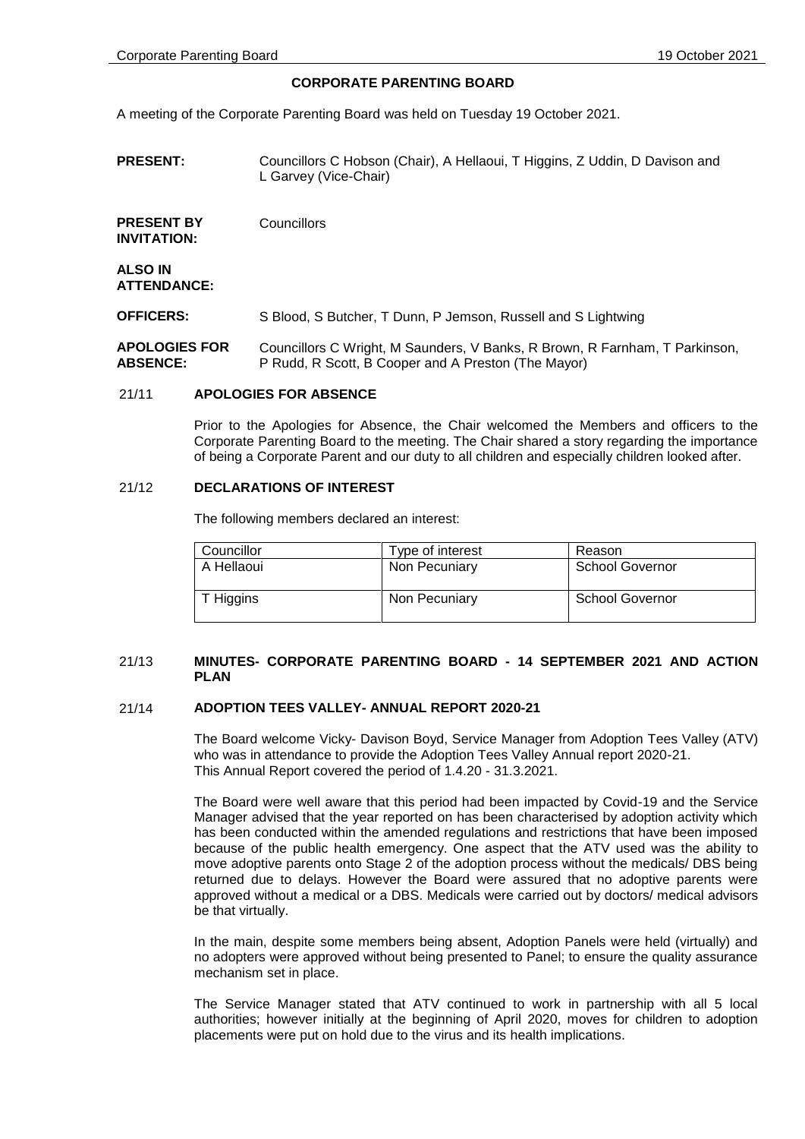### **CORPORATE PARENTING BOARD**

A meeting of the Corporate Parenting Board was held on Tuesday 19 October 2021.

**PRESENT:** Councillors C Hobson (Chair), A Hellaoui, T Higgins, Z Uddin, D Davison and L Garvey (Vice-Chair)

**PRESENT BY INVITATION: Councillors** 

**ALSO IN ATTENDANCE:**

**OFFICERS:** S Blood, S Butcher, T Dunn, P Jemson, Russell and S Lightwing

**APOLOGIES FOR ABSENCE:** Councillors C Wright, M Saunders, V Banks, R Brown, R Farnham, T Parkinson, P Rudd, R Scott, B Cooper and A Preston (The Mayor)

### 21/11 **APOLOGIES FOR ABSENCE**

Prior to the Apologies for Absence, the Chair welcomed the Members and officers to the Corporate Parenting Board to the meeting. The Chair shared a story regarding the importance of being a Corporate Parent and our duty to all children and especially children looked after.

### 21/12 **DECLARATIONS OF INTEREST**

The following members declared an interest:

| Councillor | Type of interest | Reason                 |
|------------|------------------|------------------------|
| A Hellaoui | Non Pecuniary    | <b>School Governor</b> |
| T Higgins  | Non Pecuniary    | <b>School Governor</b> |

### 21/13 **MINUTES- CORPORATE PARENTING BOARD - 14 SEPTEMBER 2021 AND ACTION PLAN**

### 21/14 **ADOPTION TEES VALLEY- ANNUAL REPORT 2020-21**

The Board welcome Vicky- Davison Boyd, Service Manager from Adoption Tees Valley (ATV) who was in attendance to provide the Adoption Tees Valley Annual report 2020-21. This Annual Report covered the period of 1.4.20 - 31.3.2021.

The Board were well aware that this period had been impacted by Covid-19 and the Service Manager advised that the year reported on has been characterised by adoption activity which has been conducted within the amended regulations and restrictions that have been imposed because of the public health emergency. One aspect that the ATV used was the ability to move adoptive parents onto Stage 2 of the adoption process without the medicals/ DBS being returned due to delays. However the Board were assured that no adoptive parents were approved without a medical or a DBS. Medicals were carried out by doctors/ medical advisors be that virtually.

In the main, despite some members being absent, Adoption Panels were held (virtually) and no adopters were approved without being presented to Panel; to ensure the quality assurance mechanism set in place.

The Service Manager stated that ATV continued to work in partnership with all 5 local authorities; however initially at the beginning of April 2020, moves for children to adoption placements were put on hold due to the virus and its health implications.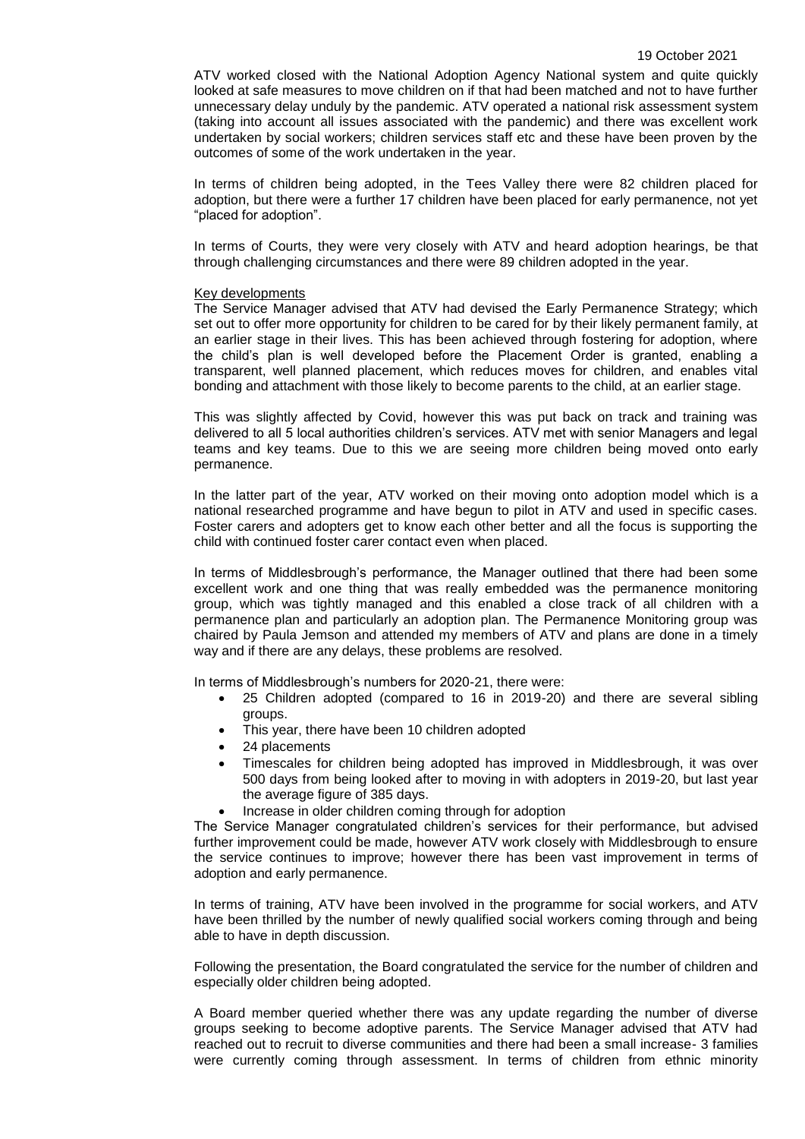ATV worked closed with the National Adoption Agency National system and quite quickly looked at safe measures to move children on if that had been matched and not to have further unnecessary delay unduly by the pandemic. ATV operated a national risk assessment system (taking into account all issues associated with the pandemic) and there was excellent work undertaken by social workers; children services staff etc and these have been proven by the outcomes of some of the work undertaken in the year.

In terms of children being adopted, in the Tees Valley there were 82 children placed for adoption, but there were a further 17 children have been placed for early permanence, not yet "placed for adoption".

In terms of Courts, they were very closely with ATV and heard adoption hearings, be that through challenging circumstances and there were 89 children adopted in the year.

#### Key developments

The Service Manager advised that ATV had devised the Early Permanence Strategy; which set out to offer more opportunity for children to be cared for by their likely permanent family, at an earlier stage in their lives. This has been achieved through fostering for adoption, where the child's plan is well developed before the Placement Order is granted, enabling a transparent, well planned placement, which reduces moves for children, and enables vital bonding and attachment with those likely to become parents to the child, at an earlier stage.

This was slightly affected by Covid, however this was put back on track and training was delivered to all 5 local authorities children's services. ATV met with senior Managers and legal teams and key teams. Due to this we are seeing more children being moved onto early permanence.

In the latter part of the year, ATV worked on their moving onto adoption model which is a national researched programme and have begun to pilot in ATV and used in specific cases. Foster carers and adopters get to know each other better and all the focus is supporting the child with continued foster carer contact even when placed.

In terms of Middlesbrough's performance, the Manager outlined that there had been some excellent work and one thing that was really embedded was the permanence monitoring group, which was tightly managed and this enabled a close track of all children with a permanence plan and particularly an adoption plan. The Permanence Monitoring group was chaired by Paula Jemson and attended my members of ATV and plans are done in a timely way and if there are any delays, these problems are resolved.

In terms of Middlesbrough's numbers for 2020-21, there were:

- 25 Children adopted (compared to 16 in 2019-20) and there are several sibling groups.
- This year, there have been 10 children adopted
- 24 placements
- Timescales for children being adopted has improved in Middlesbrough, it was over 500 days from being looked after to moving in with adopters in 2019-20, but last year the average figure of 385 days.
- Increase in older children coming through for adoption

The Service Manager congratulated children's services for their performance, but advised further improvement could be made, however ATV work closely with Middlesbrough to ensure the service continues to improve; however there has been vast improvement in terms of adoption and early permanence.

In terms of training, ATV have been involved in the programme for social workers, and ATV have been thrilled by the number of newly qualified social workers coming through and being able to have in depth discussion.

Following the presentation, the Board congratulated the service for the number of children and especially older children being adopted.

A Board member queried whether there was any update regarding the number of diverse groups seeking to become adoptive parents. The Service Manager advised that ATV had reached out to recruit to diverse communities and there had been a small increase- 3 families were currently coming through assessment. In terms of children from ethnic minority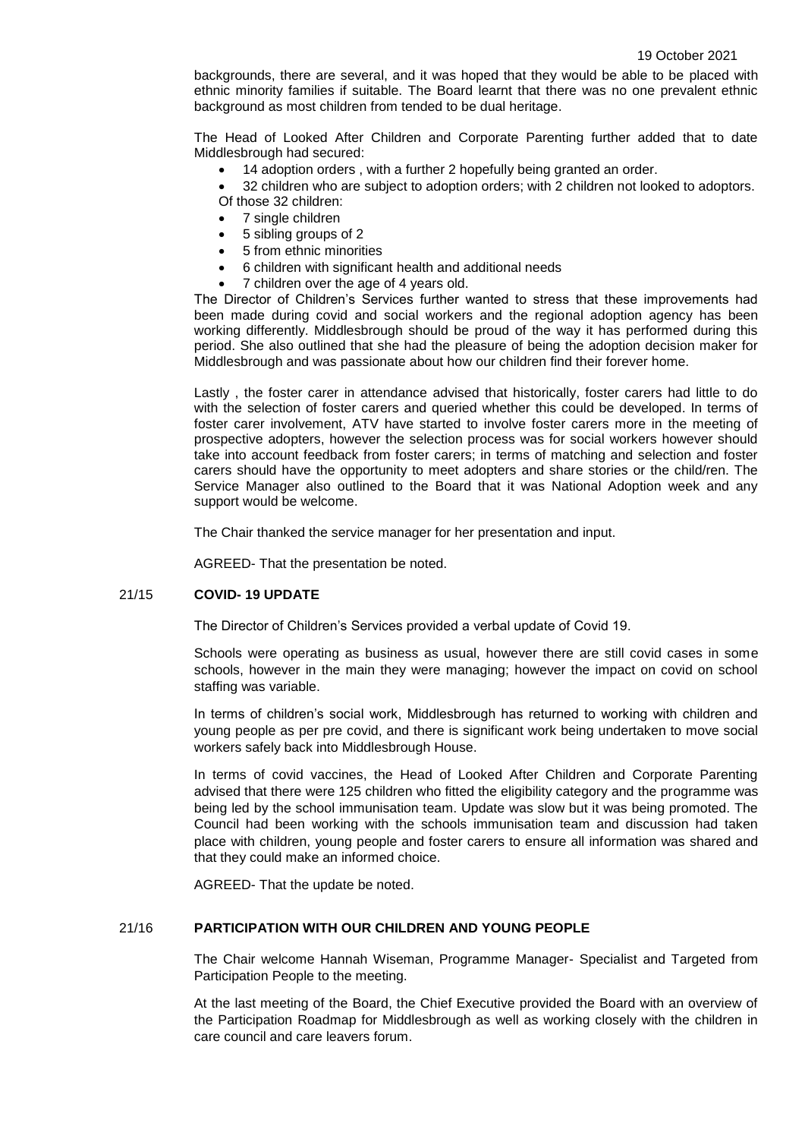backgrounds, there are several, and it was hoped that they would be able to be placed with ethnic minority families if suitable. The Board learnt that there was no one prevalent ethnic background as most children from tended to be dual heritage.

The Head of Looked After Children and Corporate Parenting further added that to date Middlesbrough had secured:

14 adoption orders , with a further 2 hopefully being granted an order.

 32 children who are subject to adoption orders; with 2 children not looked to adoptors. Of those 32 children:

- 7 single children
- 5 sibling groups of 2
- 5 from ethnic minorities
- 6 children with significant health and additional needs
- 7 children over the age of 4 years old.

The Director of Children's Services further wanted to stress that these improvements had been made during covid and social workers and the regional adoption agency has been working differently. Middlesbrough should be proud of the way it has performed during this period. She also outlined that she had the pleasure of being the adoption decision maker for Middlesbrough and was passionate about how our children find their forever home.

Lastly , the foster carer in attendance advised that historically, foster carers had little to do with the selection of foster carers and queried whether this could be developed. In terms of foster carer involvement, ATV have started to involve foster carers more in the meeting of prospective adopters, however the selection process was for social workers however should take into account feedback from foster carers; in terms of matching and selection and foster carers should have the opportunity to meet adopters and share stories or the child/ren. The Service Manager also outlined to the Board that it was National Adoption week and any support would be welcome.

The Chair thanked the service manager for her presentation and input.

AGREED- That the presentation be noted.

#### 21/15 **COVID- 19 UPDATE**

The Director of Children's Services provided a verbal update of Covid 19.

Schools were operating as business as usual, however there are still covid cases in some schools, however in the main they were managing; however the impact on covid on school staffing was variable.

In terms of children's social work, Middlesbrough has returned to working with children and young people as per pre covid, and there is significant work being undertaken to move social workers safely back into Middlesbrough House.

In terms of covid vaccines, the Head of Looked After Children and Corporate Parenting advised that there were 125 children who fitted the eligibility category and the programme was being led by the school immunisation team. Update was slow but it was being promoted. The Council had been working with the schools immunisation team and discussion had taken place with children, young people and foster carers to ensure all information was shared and that they could make an informed choice.

AGREED- That the update be noted.

### 21/16 **PARTICIPATION WITH OUR CHILDREN AND YOUNG PEOPLE**

The Chair welcome Hannah Wiseman, Programme Manager- Specialist and Targeted from Participation People to the meeting.

At the last meeting of the Board, the Chief Executive provided the Board with an overview of the Participation Roadmap for Middlesbrough as well as working closely with the children in care council and care leavers forum.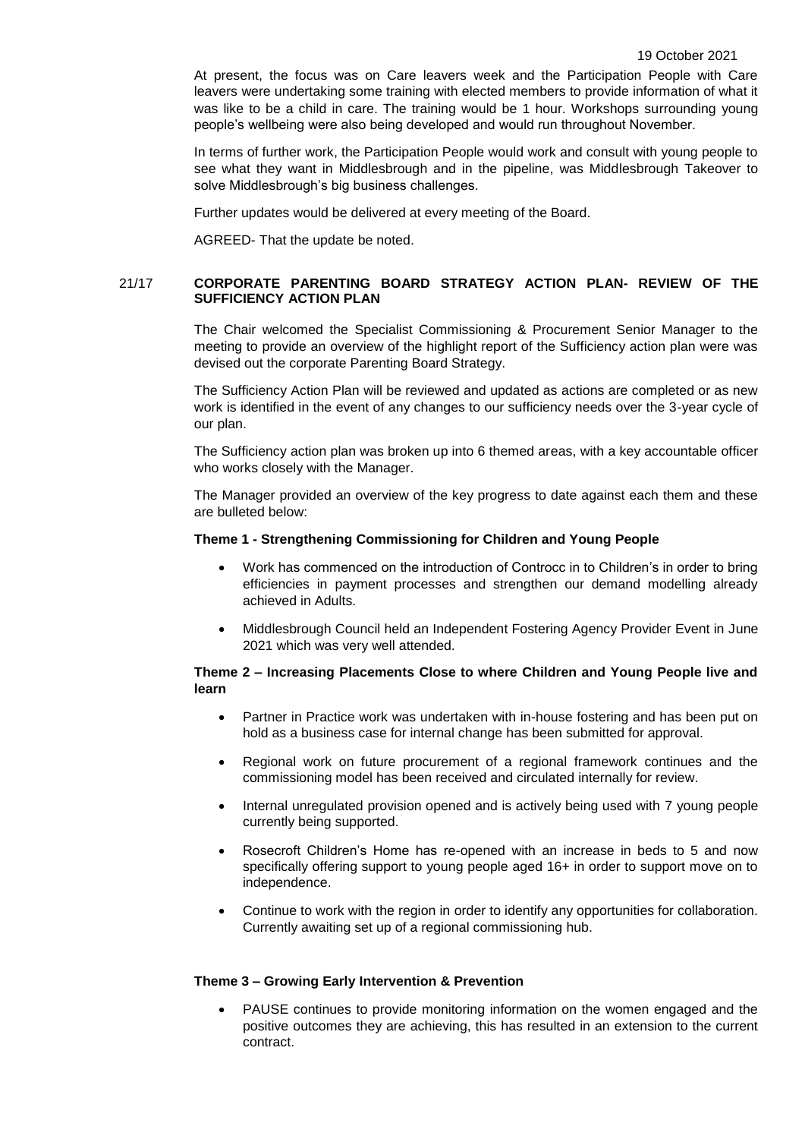At present, the focus was on Care leavers week and the Participation People with Care leavers were undertaking some training with elected members to provide information of what it was like to be a child in care. The training would be 1 hour. Workshops surrounding young people's wellbeing were also being developed and would run throughout November.

In terms of further work, the Participation People would work and consult with young people to see what they want in Middlesbrough and in the pipeline, was Middlesbrough Takeover to solve Middlesbrough's big business challenges.

Further updates would be delivered at every meeting of the Board.

AGREED- That the update be noted.

# 21/17 **CORPORATE PARENTING BOARD STRATEGY ACTION PLAN- REVIEW OF THE SUFFICIENCY ACTION PLAN**

The Chair welcomed the Specialist Commissioning & Procurement Senior Manager to the meeting to provide an overview of the highlight report of the Sufficiency action plan were was devised out the corporate Parenting Board Strategy.

The Sufficiency Action Plan will be reviewed and updated as actions are completed or as new work is identified in the event of any changes to our sufficiency needs over the 3-year cycle of our plan.

The Sufficiency action plan was broken up into 6 themed areas, with a key accountable officer who works closely with the Manager.

The Manager provided an overview of the key progress to date against each them and these are bulleted below:

#### **Theme 1 - Strengthening Commissioning for Children and Young People**

- Work has commenced on the introduction of Controcc in to Children's in order to bring efficiencies in payment processes and strengthen our demand modelling already achieved in Adults.
- Middlesbrough Council held an Independent Fostering Agency Provider Event in June 2021 which was very well attended.

# **Theme 2 – Increasing Placements Close to where Children and Young People live and learn**

- Partner in Practice work was undertaken with in-house fostering and has been put on hold as a business case for internal change has been submitted for approval.
- Regional work on future procurement of a regional framework continues and the commissioning model has been received and circulated internally for review.
- Internal unregulated provision opened and is actively being used with 7 young people currently being supported.
- Rosecroft Children's Home has re-opened with an increase in beds to 5 and now specifically offering support to young people aged 16+ in order to support move on to independence.
- Continue to work with the region in order to identify any opportunities for collaboration. Currently awaiting set up of a regional commissioning hub.

### **Theme 3 – Growing Early Intervention & Prevention**

 PAUSE continues to provide monitoring information on the women engaged and the positive outcomes they are achieving, this has resulted in an extension to the current contract.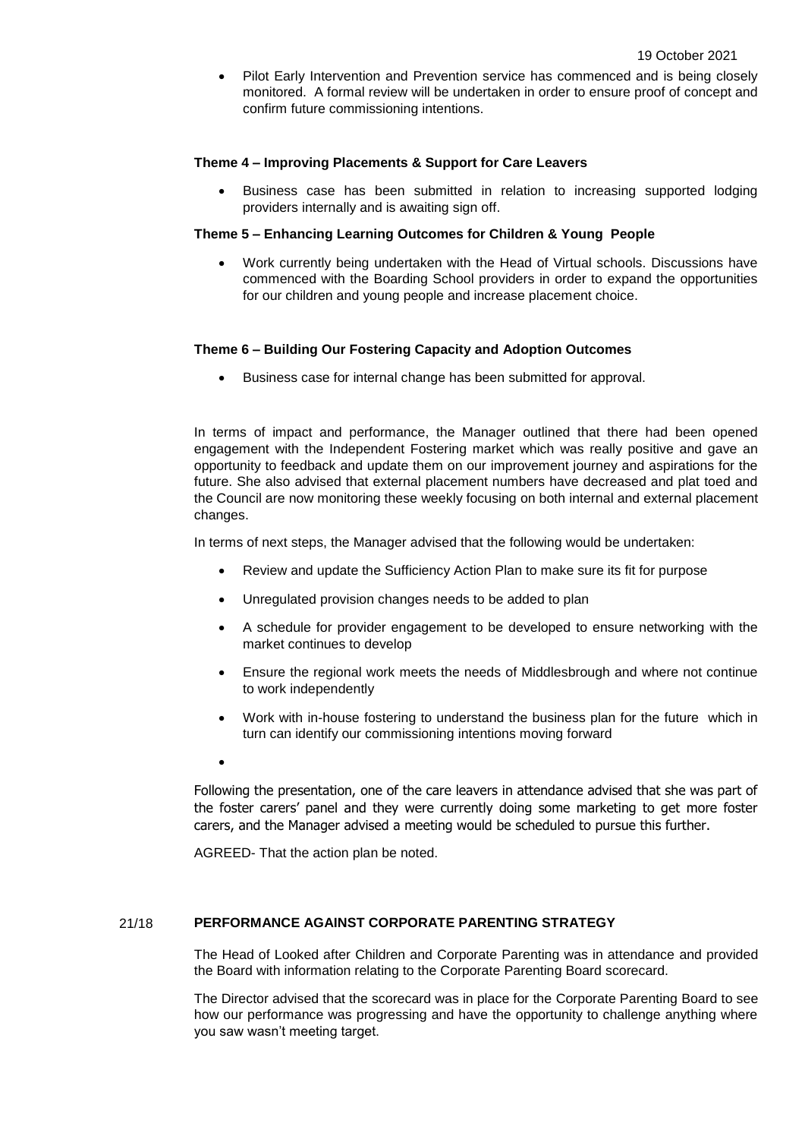Pilot Early Intervention and Prevention service has commenced and is being closely monitored. A formal review will be undertaken in order to ensure proof of concept and confirm future commissioning intentions.

# **Theme 4 – Improving Placements & Support for Care Leavers**

 Business case has been submitted in relation to increasing supported lodging providers internally and is awaiting sign off.

## **Theme 5 – Enhancing Learning Outcomes for Children & Young People**

 Work currently being undertaken with the Head of Virtual schools. Discussions have commenced with the Boarding School providers in order to expand the opportunities for our children and young people and increase placement choice.

## **Theme 6 – Building Our Fostering Capacity and Adoption Outcomes**

Business case for internal change has been submitted for approval.

In terms of impact and performance, the Manager outlined that there had been opened engagement with the Independent Fostering market which was really positive and gave an opportunity to feedback and update them on our improvement journey and aspirations for the future. She also advised that external placement numbers have decreased and plat toed and the Council are now monitoring these weekly focusing on both internal and external placement changes.

In terms of next steps, the Manager advised that the following would be undertaken:

- Review and update the Sufficiency Action Plan to make sure its fit for purpose
- Unregulated provision changes needs to be added to plan
- A schedule for provider engagement to be developed to ensure networking with the market continues to develop
- Ensure the regional work meets the needs of Middlesbrough and where not continue to work independently
- Work with in-house fostering to understand the business plan for the future which in turn can identify our commissioning intentions moving forward
- $\bullet$

Following the presentation, one of the care leavers in attendance advised that she was part of the foster carers' panel and they were currently doing some marketing to get more foster carers, and the Manager advised a meeting would be scheduled to pursue this further.

AGREED- That the action plan be noted.

### 21/18 **PERFORMANCE AGAINST CORPORATE PARENTING STRATEGY**

The Head of Looked after Children and Corporate Parenting was in attendance and provided the Board with information relating to the Corporate Parenting Board scorecard.

The Director advised that the scorecard was in place for the Corporate Parenting Board to see how our performance was progressing and have the opportunity to challenge anything where you saw wasn't meeting target.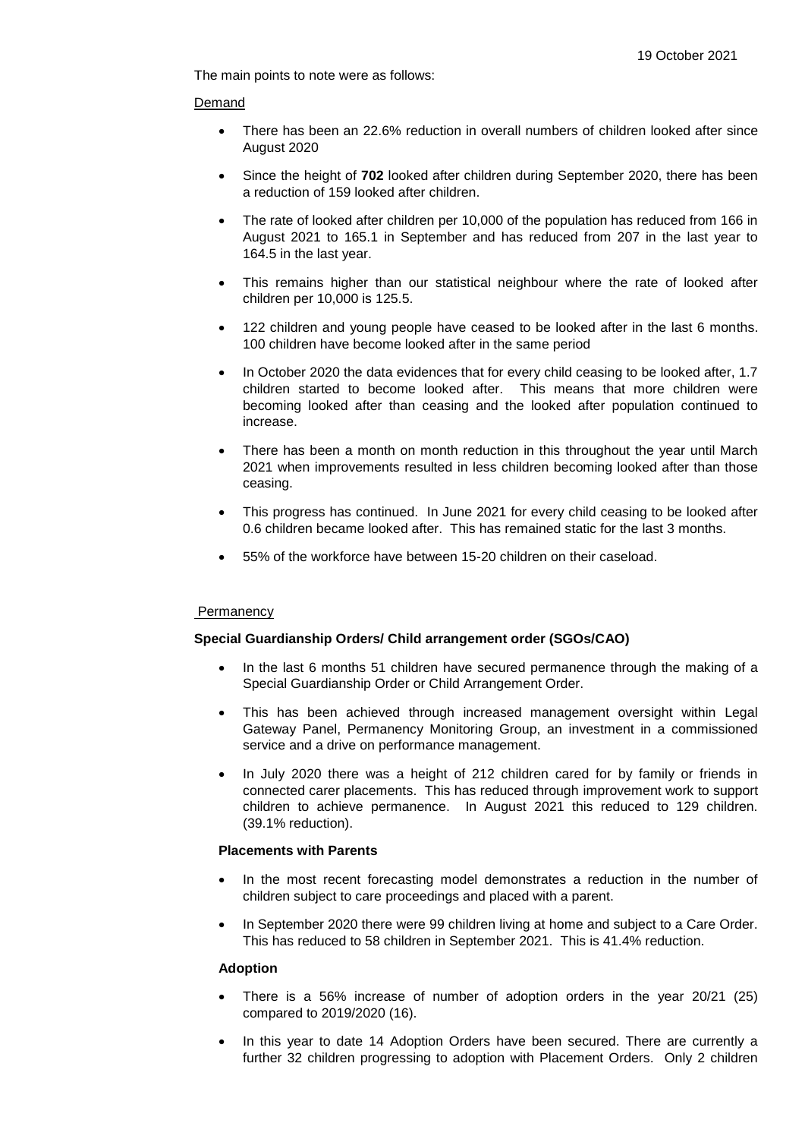The main points to note were as follows:

## Demand

- There has been an 22.6% reduction in overall numbers of children looked after since August 2020
- Since the height of **702** looked after children during September 2020, there has been a reduction of 159 looked after children.
- The rate of looked after children per 10,000 of the population has reduced from 166 in August 2021 to 165.1 in September and has reduced from 207 in the last year to 164.5 in the last year.
- This remains higher than our statistical neighbour where the rate of looked after children per 10,000 is 125.5.
- 122 children and young people have ceased to be looked after in the last 6 months. 100 children have become looked after in the same period
- In October 2020 the data evidences that for every child ceasing to be looked after, 1.7 children started to become looked after. This means that more children were becoming looked after than ceasing and the looked after population continued to increase.
- There has been a month on month reduction in this throughout the year until March 2021 when improvements resulted in less children becoming looked after than those ceasing.
- This progress has continued. In June 2021 for every child ceasing to be looked after 0.6 children became looked after. This has remained static for the last 3 months.
- 55% of the workforce have between 15-20 children on their caseload.

# **Permanency**

# **Special Guardianship Orders/ Child arrangement order (SGOs/CAO)**

- In the last 6 months 51 children have secured permanence through the making of a Special Guardianship Order or Child Arrangement Order.
- This has been achieved through increased management oversight within Legal Gateway Panel, Permanency Monitoring Group, an investment in a commissioned service and a drive on performance management.
- In July 2020 there was a height of 212 children cared for by family or friends in connected carer placements. This has reduced through improvement work to support children to achieve permanence. In August 2021 this reduced to 129 children. (39.1% reduction).

# **Placements with Parents**

- In the most recent forecasting model demonstrates a reduction in the number of children subject to care proceedings and placed with a parent.
- In September 2020 there were 99 children living at home and subject to a Care Order. This has reduced to 58 children in September 2021. This is 41.4% reduction.

### **Adoption**

- There is a 56% increase of number of adoption orders in the year 20/21 (25) compared to 2019/2020 (16).
- In this year to date 14 Adoption Orders have been secured. There are currently a further 32 children progressing to adoption with Placement Orders. Only 2 children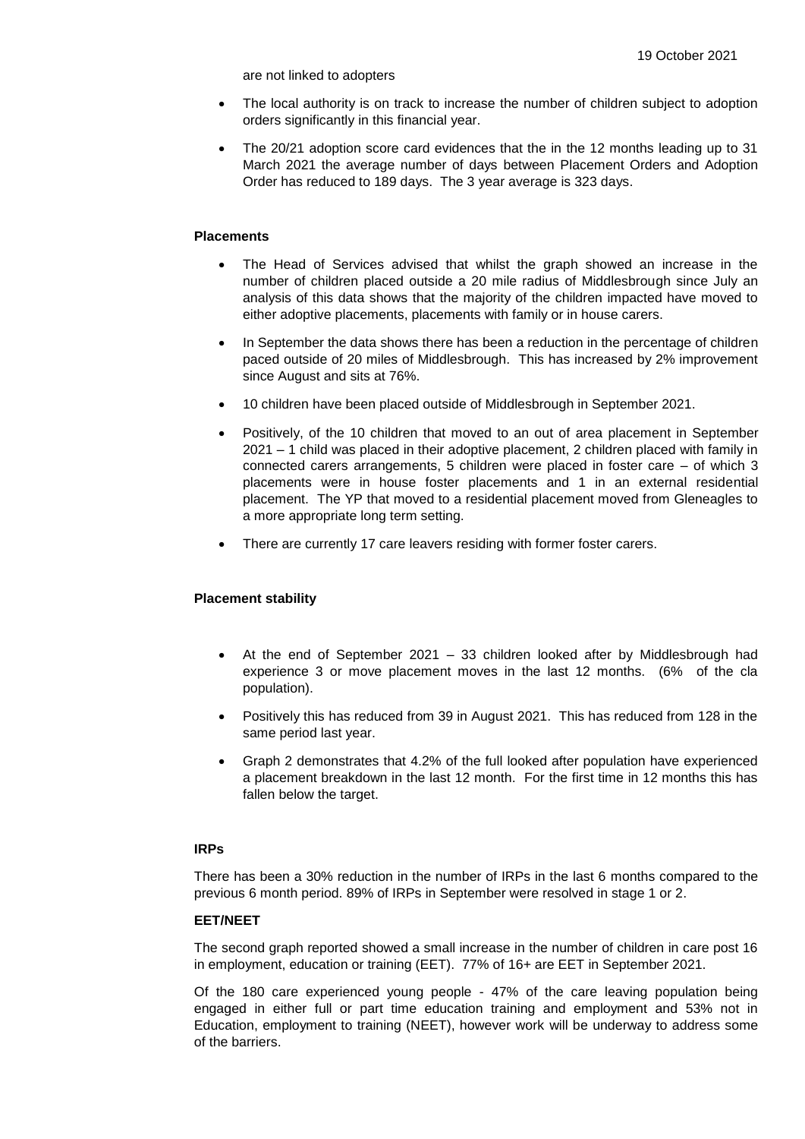are not linked to adopters

- The local authority is on track to increase the number of children subject to adoption orders significantly in this financial year.
- The 20/21 adoption score card evidences that the in the 12 months leading up to 31 March 2021 the average number of days between Placement Orders and Adoption Order has reduced to 189 days. The 3 year average is 323 days.

# **Placements**

- The Head of Services advised that whilst the graph showed an increase in the number of children placed outside a 20 mile radius of Middlesbrough since July an analysis of this data shows that the majority of the children impacted have moved to either adoptive placements, placements with family or in house carers.
- In September the data shows there has been a reduction in the percentage of children paced outside of 20 miles of Middlesbrough. This has increased by 2% improvement since August and sits at 76%.
- 10 children have been placed outside of Middlesbrough in September 2021.
- Positively, of the 10 children that moved to an out of area placement in September 2021 – 1 child was placed in their adoptive placement, 2 children placed with family in connected carers arrangements, 5 children were placed in foster care – of which 3 placements were in house foster placements and 1 in an external residential placement. The YP that moved to a residential placement moved from Gleneagles to a more appropriate long term setting.
- There are currently 17 care leavers residing with former foster carers.

### **Placement stability**

- At the end of September 2021 33 children looked after by Middlesbrough had experience 3 or move placement moves in the last 12 months. (6% of the cla population).
- Positively this has reduced from 39 in August 2021. This has reduced from 128 in the same period last year.
- Graph 2 demonstrates that 4.2% of the full looked after population have experienced a placement breakdown in the last 12 month. For the first time in 12 months this has fallen below the target.

# **IRPs**

There has been a 30% reduction in the number of IRPs in the last 6 months compared to the previous 6 month period. 89% of IRPs in September were resolved in stage 1 or 2.

### **EET/NEET**

The second graph reported showed a small increase in the number of children in care post 16 in employment, education or training (EET). 77% of 16+ are EET in September 2021.

Of the 180 care experienced young people - 47% of the care leaving population being engaged in either full or part time education training and employment and 53% not in Education, employment to training (NEET), however work will be underway to address some of the barriers.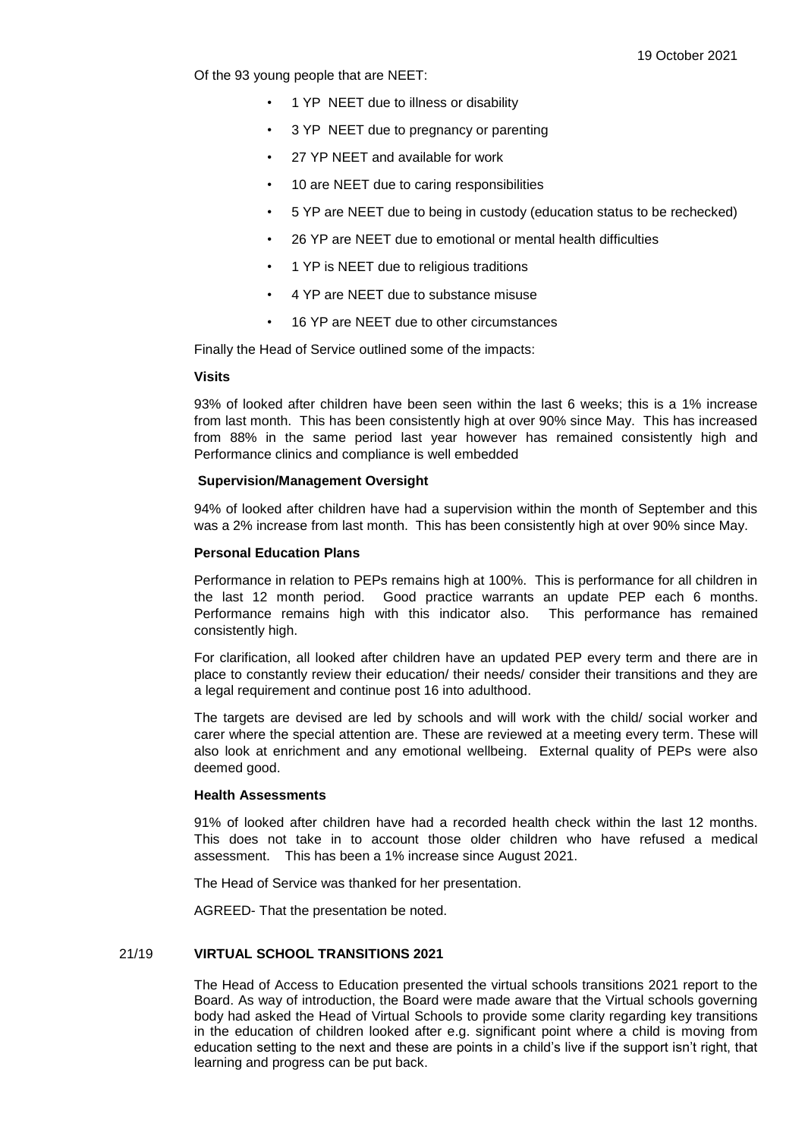Of the 93 young people that are NEET:

- 1 YP NEET due to illness or disability
- 3 YP NEET due to pregnancy or parenting
- 27 YP NEET and available for work
- 10 are NEET due to caring responsibilities
- 5 YP are NEET due to being in custody (education status to be rechecked)
- 26 YP are NEET due to emotional or mental health difficulties
- 1 YP is NEET due to religious traditions
- 4 YP are NEET due to substance misuse
- 16 YP are NEET due to other circumstances

Finally the Head of Service outlined some of the impacts:

### **Visits**

93% of looked after children have been seen within the last 6 weeks; this is a 1% increase from last month. This has been consistently high at over 90% since May. This has increased from 88% in the same period last year however has remained consistently high and Performance clinics and compliance is well embedded

### **Supervision/Management Oversight**

94% of looked after children have had a supervision within the month of September and this was a 2% increase from last month. This has been consistently high at over 90% since May.

#### **Personal Education Plans**

Performance in relation to PEPs remains high at 100%. This is performance for all children in the last 12 month period. Good practice warrants an update PEP each 6 months. Performance remains high with this indicator also. This performance has remained consistently high.

For clarification, all looked after children have an updated PEP every term and there are in place to constantly review their education/ their needs/ consider their transitions and they are a legal requirement and continue post 16 into adulthood.

The targets are devised are led by schools and will work with the child/ social worker and carer where the special attention are. These are reviewed at a meeting every term. These will also look at enrichment and any emotional wellbeing. External quality of PEPs were also deemed good.

## **Health Assessments**

91% of looked after children have had a recorded health check within the last 12 months. This does not take in to account those older children who have refused a medical assessment. This has been a 1% increase since August 2021.

The Head of Service was thanked for her presentation.

AGREED- That the presentation be noted.

### 21/19 **VIRTUAL SCHOOL TRANSITIONS 2021**

The Head of Access to Education presented the virtual schools transitions 2021 report to the Board. As way of introduction, the Board were made aware that the Virtual schools governing body had asked the Head of Virtual Schools to provide some clarity regarding key transitions in the education of children looked after e.g. significant point where a child is moving from education setting to the next and these are points in a child's live if the support isn't right, that learning and progress can be put back.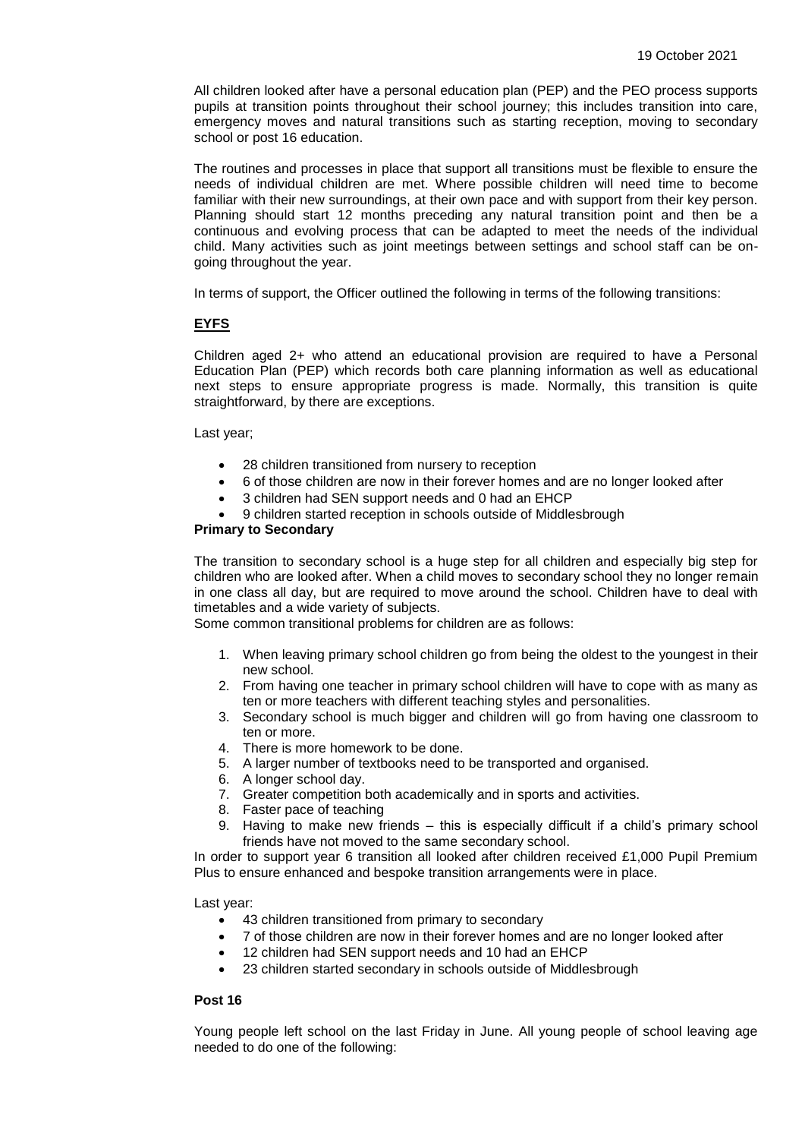All children looked after have a personal education plan (PEP) and the PEO process supports pupils at transition points throughout their school journey; this includes transition into care, emergency moves and natural transitions such as starting reception, moving to secondary school or post 16 education.

The routines and processes in place that support all transitions must be flexible to ensure the needs of individual children are met. Where possible children will need time to become familiar with their new surroundings, at their own pace and with support from their key person. Planning should start 12 months preceding any natural transition point and then be a continuous and evolving process that can be adapted to meet the needs of the individual child. Many activities such as joint meetings between settings and school staff can be ongoing throughout the year.

In terms of support, the Officer outlined the following in terms of the following transitions:

## **EYFS**

Children aged 2+ who attend an educational provision are required to have a Personal Education Plan (PEP) which records both care planning information as well as educational next steps to ensure appropriate progress is made. Normally, this transition is quite straightforward, by there are exceptions.

Last year;

- 28 children transitioned from nursery to reception
- 6 of those children are now in their forever homes and are no longer looked after
- 3 children had SEN support needs and 0 had an EHCP
- 9 children started reception in schools outside of Middlesbrough

#### **Primary to Secondary**

The transition to secondary school is a huge step for all children and especially big step for children who are looked after. When a child moves to secondary school they no longer remain in one class all day, but are required to move around the school. Children have to deal with timetables and a wide variety of subjects.

Some common transitional problems for children are as follows:

- 1. When leaving primary school children go from being the oldest to the youngest in their new school.
- 2. From having one teacher in primary school children will have to cope with as many as ten or more teachers with different teaching styles and personalities.
- 3. Secondary school is much bigger and children will go from having one classroom to ten or more.
- 4. There is more homework to be done.
- 5. A larger number of textbooks need to be transported and organised.
- 6. A longer school day.
- 7. Greater competition both academically and in sports and activities.
- 8. Faster pace of teaching
- 9. Having to make new friends this is especially difficult if a child's primary school friends have not moved to the same secondary school.

In order to support year 6 transition all looked after children received £1,000 Pupil Premium Plus to ensure enhanced and bespoke transition arrangements were in place.

Last year:

- 43 children transitioned from primary to secondary
- 7 of those children are now in their forever homes and are no longer looked after
- 12 children had SEN support needs and 10 had an EHCP
- 23 children started secondary in schools outside of Middlesbrough

# **Post 16**

Young people left school on the last Friday in June. All young people of school leaving age needed to do one of the following: